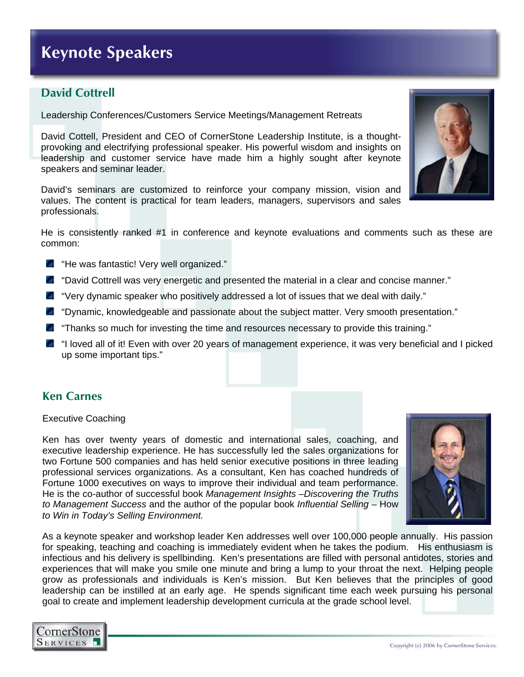## **Keynote Speakers**

## **David Cottrell**

Leadership Conferences/Customers Service Meetings/Management Retreats

David Cottell, President and CEO of CornerStone Leadership Institute, is a thoughtprovoking and electrifying professional speaker. His powerful wisdom and insights on leadership and customer service have made him a highly sought after keynote speakers and seminar leader.

David's seminars are customized to reinforce your company mission, vision and values. The content is practical for team leaders, managers, supervisors and sales professionals.

He is consistently ranked #1 in conference and keynote evaluations and comments such as these are common:

- "He was fantastic! Very well organized."
- "David Cottrell was very energetic and presented the material in a clear and concise manner."
- "Very dynamic speaker who positively addressed a lot of issues that we deal with daily."
- "Dynamic, knowledgeable and passionate about the subject matter. Very smooth presentation."
- "Thanks so much for investing the time and resources necessary to provide this training."
- "I loved all of it! Even with over 20 years of management experience, it was very beneficial and I picked up some important tips."

### **Ken Carnes**

#### Executive Coaching

Ken has over twenty years of domestic and international sales, coaching, and executive leadership experience. He has successfully led the sales organizations for two Fortune 500 companies and has held senior executive positions in three leading professional services organizations. As a consultant, Ken has coached hundreds of Fortune 1000 executives on ways to improve their individual and team performance. He is the co-author of successful book *Management Insights –Discovering the Truths to Management Success* and the author of the popular book *Influential Selling* – How *to Win in Today's Selling Environment.* 



As a keynote speaker and workshop leader Ken addresses well over 100,000 people annually. His passion for speaking, teaching and coaching is immediately evident when he takes the podium. His enthusiasm is infectious and his delivery is spellbinding. Ken's presentations are filled with personal antidotes, stories and experiences that will make you smile one minute and bring a lump to your throat the next. Helping people grow as professionals and individuals is Ken's mission. But Ken believes that the principles of good leadership can be instilled at an early age. He spends significant time each week pursuing his personal goal to create and implement leadership development curricula at the grade school level.